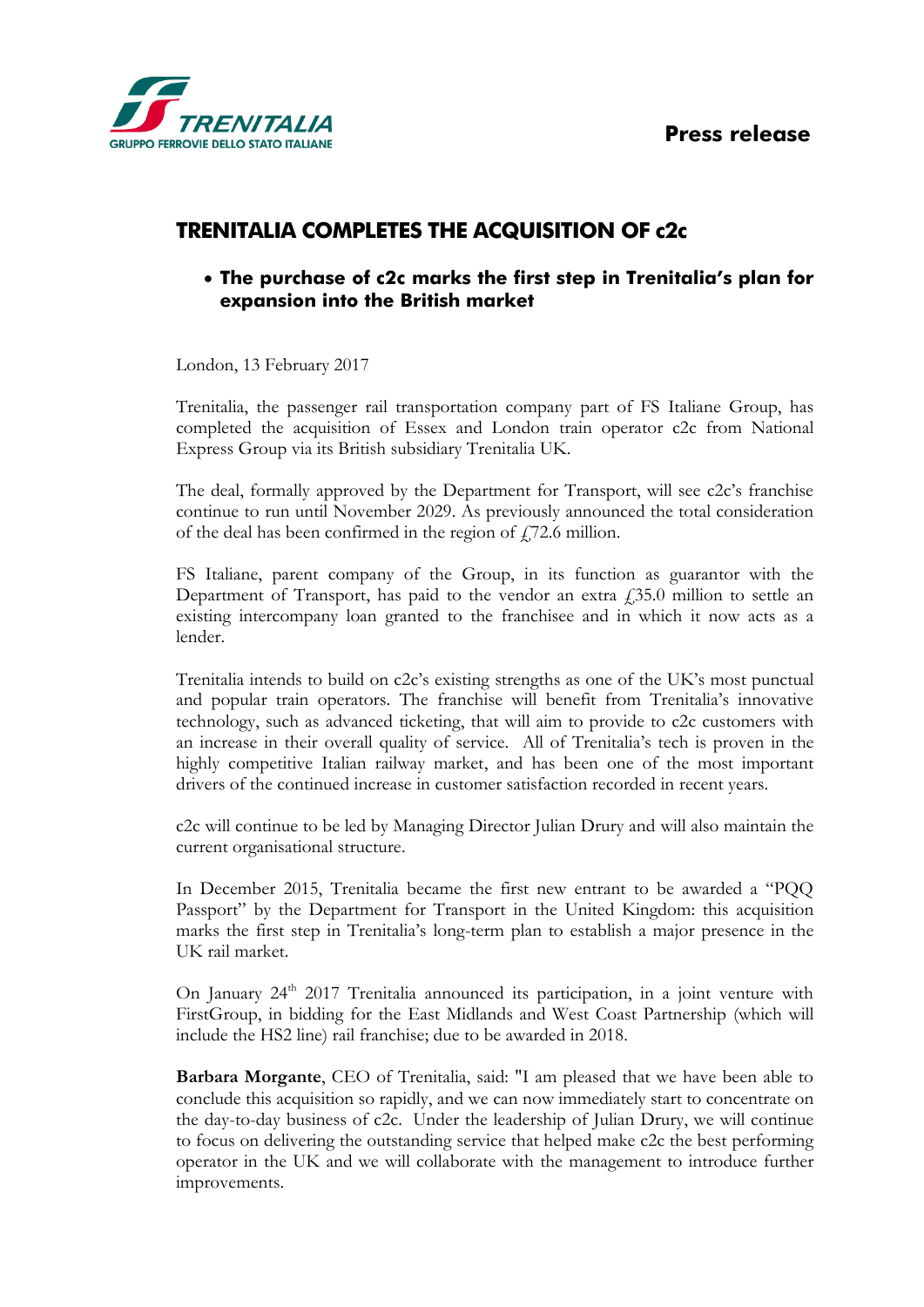**Press release**



## **TRENITALIA COMPLETES THE ACQUISITION OF c2c**

## **The purchase of c2c marks the first step in Trenitalia's plan for expansion into the British market**

London, 13 February 2017

Trenitalia, the passenger rail transportation company part of FS Italiane Group, has completed the acquisition of Essex and London train operator c2c from National Express Group via its British subsidiary Trenitalia UK.

The deal, formally approved by the Department for Transport, will see c2c's franchise continue to run until November 2029. As previously announced the total consideration of the deal has been confirmed in the region of  $f$ , 72.6 million.

FS Italiane, parent company of the Group, in its function as guarantor with the Department of Transport, has paid to the vendor an extra  $\hat{f}$  = 35.0 million to settle an existing intercompany loan granted to the franchisee and in which it now acts as a lender.

Trenitalia intends to build on c2c's existing strengths as one of the UK's most punctual and popular train operators. The franchise will benefit from Trenitalia's innovative technology, such as advanced ticketing, that will aim to provide to c2c customers with an increase in their overall quality of service. All of Trenitalia's tech is proven in the highly competitive Italian railway market, and has been one of the most important drivers of the continued increase in customer satisfaction recorded in recent years.

c2c will continue to be led by Managing Director Julian Drury and will also maintain the current organisational structure.

In December 2015, Trenitalia became the first new entrant to be awarded a "PQQ Passport" by the Department for Transport in the United Kingdom: this acquisition marks the first step in Trenitalia's long-term plan to establish a major presence in the UK rail market.

On January 24<sup>th</sup> 2017 Trenitalia announced its participation, in a joint venture with FirstGroup, in bidding for the East Midlands and West Coast Partnership (which will include the HS2 line) rail franchise; due to be awarded in 2018.

**Barbara Morgante**, CEO of Trenitalia, said: "I am pleased that we have been able to conclude this acquisition so rapidly, and we can now immediately start to concentrate on the day-to-day business of c2c. Under the leadership of Julian Drury, we will continue to focus on delivering the outstanding service that helped make c2c the best performing operator in the UK and we will collaborate with the management to introduce further improvements.